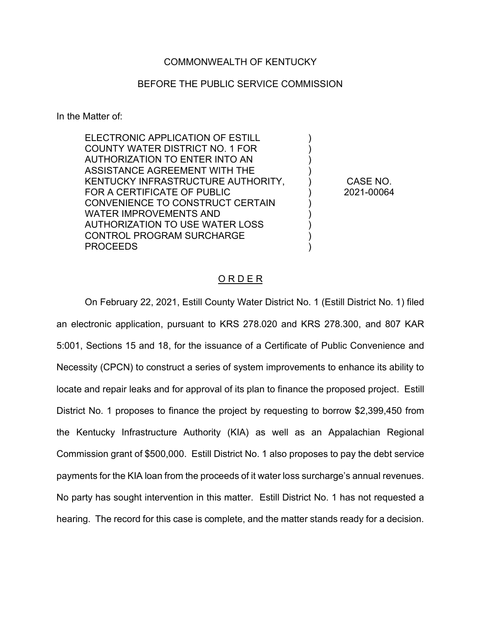## COMMONWEALTH OF KENTUCKY

## BEFORE THE PUBLIC SERVICE COMMISSION

In the Matter of:

| ELECTRONIC APPLICATION OF ESTILL   |            |
|------------------------------------|------------|
| COUNTY WATER DISTRICT NO. 1 FOR    |            |
| AUTHORIZATION TO ENTER INTO AN     |            |
| ASSISTANCE AGREEMENT WITH THE      |            |
| KENTUCKY INFRASTRUCTURE AUTHORITY, | CASE NO.   |
| FOR A CERTIFICATE OF PUBLIC        | 2021-00064 |
| CONVENIENCE TO CONSTRUCT CERTAIN   |            |
| WATER IMPROVEMENTS AND             |            |
| AUTHORIZATION TO USE WATER LOSS    |            |
| <b>CONTROL PROGRAM SURCHARGE</b>   |            |
| <b>PROCEEDS</b>                    |            |
|                                    |            |

#### O R D E R

On February 22, 2021, Estill County Water District No. 1 (Estill District No. 1) filed an electronic application, pursuant to KRS 278.020 and KRS 278.300, and 807 KAR 5:001, Sections 15 and 18, for the issuance of a Certificate of Public Convenience and Necessity (CPCN) to construct a series of system improvements to enhance its ability to locate and repair leaks and for approval of its plan to finance the proposed project. Estill District No. 1 proposes to finance the project by requesting to borrow \$2,399,450 from the Kentucky Infrastructure Authority (KIA) as well as an Appalachian Regional Commission grant of \$500,000. Estill District No. 1 also proposes to pay the debt service payments for the KIA loan from the proceeds of it water loss surcharge's annual revenues. No party has sought intervention in this matter. Estill District No. 1 has not requested a hearing. The record for this case is complete, and the matter stands ready for a decision.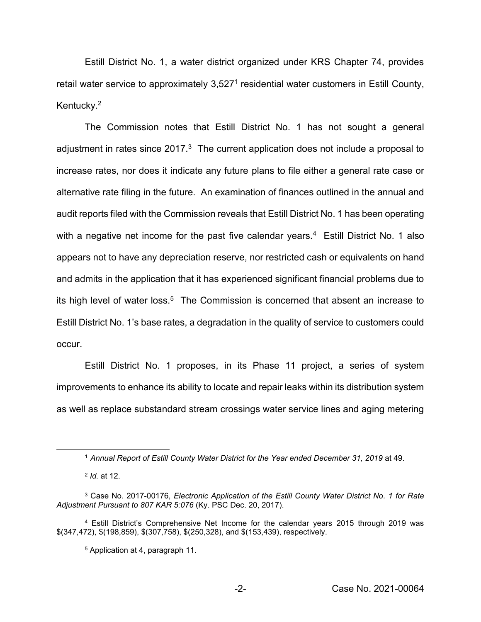Estill District No. 1, a water district organized under KRS Chapter 74, provides retail water service to approximately 3,527<sup>1</sup> residential water customers in Estill County, Kentucky.<sup>2</sup>

The Commission notes that Estill District No. 1 has not sought a general adjustment in rates since  $2017<sup>3</sup>$ . The current application does not include a proposal to increase rates, nor does it indicate any future plans to file either a general rate case or alternative rate filing in the future. An examination of finances outlined in the annual and audit reports filed with the Commission reveals that Estill District No. 1 has been operating with a negative net income for the past five calendar years.<sup>4</sup> Estill District No. 1 also appears not to have any depreciation reserve, nor restricted cash or equivalents on hand and admits in the application that it has experienced significant financial problems due to its high level of water loss.<sup>5</sup> The Commission is concerned that absent an increase to Estill District No. 1's base rates, a degradation in the quality of service to customers could occur.

Estill District No. 1 proposes, in its Phase 11 project, a series of system improvements to enhance its ability to locate and repair leaks within its distribution system as well as replace substandard stream crossings water service lines and aging metering

<sup>1</sup> *Annual Report of Estill County Water District for the Year ended December 31, 2019* at 49.

<sup>2</sup> *Id.* at 12.

<sup>3</sup> Case No. 2017-00176, *Electronic Application of the Estill County Water District No. 1 for Rate Adjustment Pursuant to 807 KAR 5:076* (Ky. PSC Dec. 20, 2017).

<sup>4</sup> Estill District's Comprehensive Net Income for the calendar years 2015 through 2019 was \$(347,472), \$(198,859), \$(307,758), \$(250,328), and \$(153,439), respectively.

<sup>5</sup> Application at 4, paragraph 11.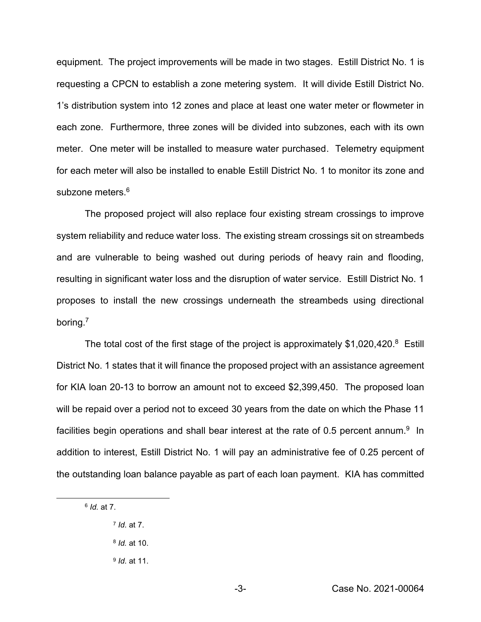equipment. The project improvements will be made in two stages. Estill District No. 1 is requesting a CPCN to establish a zone metering system. It will divide Estill District No. 1's distribution system into 12 zones and place at least one water meter or flowmeter in each zone. Furthermore, three zones will be divided into subzones, each with its own meter. One meter will be installed to measure water purchased. Telemetry equipment for each meter will also be installed to enable Estill District No. 1 to monitor its zone and subzone meters.<sup>6</sup>

The proposed project will also replace four existing stream crossings to improve system reliability and reduce water loss. The existing stream crossings sit on streambeds and are vulnerable to being washed out during periods of heavy rain and flooding, resulting in significant water loss and the disruption of water service. Estill District No. 1 proposes to install the new crossings underneath the streambeds using directional boring.7

The total cost of the first stage of the project is approximately \$1,020,420.<sup>8</sup> Estill District No. 1 states that it will finance the proposed project with an assistance agreement for KIA loan 20-13 to borrow an amount not to exceed \$2,399,450. The proposed loan will be repaid over a period not to exceed 30 years from the date on which the Phase 11 facilities begin operations and shall bear interest at the rate of 0.5 percent annum. $9$  In addition to interest, Estill District No. 1 will pay an administrative fee of 0.25 percent of the outstanding loan balance payable as part of each loan payment. KIA has committed

- <sup>8</sup> *Id.* at 10.
- <sup>9</sup> *Id*. at 11.

<sup>6</sup> *Id.* at 7.

<sup>7</sup> *Id*. at 7.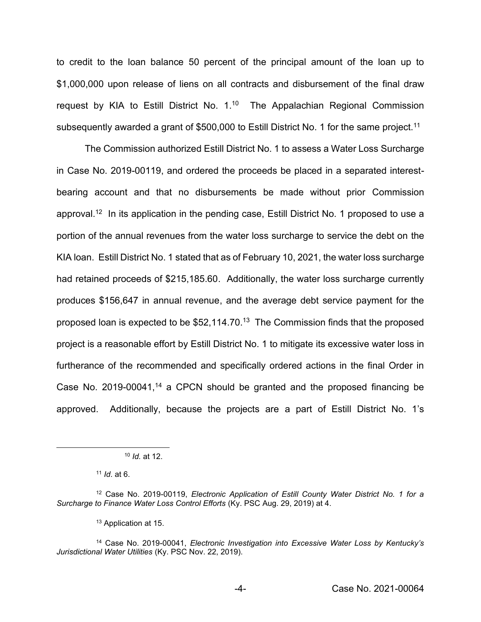to credit to the loan balance 50 percent of the principal amount of the loan up to \$1,000,000 upon release of liens on all contracts and disbursement of the final draw request by KIA to Estill District No. 1.<sup>10</sup> The Appalachian Regional Commission subsequently awarded a grant of \$500,000 to Estill District No. 1 for the same project.<sup>11</sup>

The Commission authorized Estill District No. 1 to assess a Water Loss Surcharge in Case No. 2019-00119, and ordered the proceeds be placed in a separated interestbearing account and that no disbursements be made without prior Commission approval.12 In its application in the pending case, Estill District No. 1 proposed to use a portion of the annual revenues from the water loss surcharge to service the debt on the KIA loan. Estill District No. 1 stated that as of February 10, 2021, the water loss surcharge had retained proceeds of \$215,185.60. Additionally, the water loss surcharge currently produces \$156,647 in annual revenue, and the average debt service payment for the proposed loan is expected to be \$52,114.70.13 The Commission finds that the proposed project is a reasonable effort by Estill District No. 1 to mitigate its excessive water loss in furtherance of the recommended and specifically ordered actions in the final Order in Case No. 2019-00041,<sup>14</sup> a CPCN should be granted and the proposed financing be approved. Additionally, because the projects are a part of Estill District No. 1's

<sup>10</sup> *Id.* at 12.

<sup>11</sup> *Id*. at 6.

<sup>12</sup> Case No. 2019-00119, *Electronic Application of Estill County Water District No. 1 for a Surcharge to Finance Water Loss Control Efforts* (Ky. PSC Aug. 29, 2019) at 4.

<sup>13</sup> Application at 15.

<sup>14</sup> Case No. 2019-00041, *Electronic Investigation into Excessive Water Loss by Kentucky's Jurisdictional Water Utilities* (Ky. PSC Nov. 22, 2019).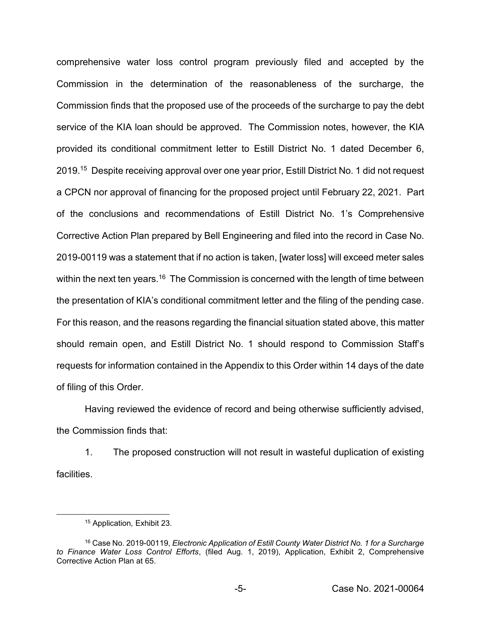comprehensive water loss control program previously filed and accepted by the Commission in the determination of the reasonableness of the surcharge, the Commission finds that the proposed use of the proceeds of the surcharge to pay the debt service of the KIA loan should be approved. The Commission notes, however, the KIA provided its conditional commitment letter to Estill District No. 1 dated December 6, 2019.<sup>15</sup> Despite receiving approval over one year prior, Estill District No. 1 did not request a CPCN nor approval of financing for the proposed project until February 22, 2021. Part of the conclusions and recommendations of Estill District No. 1's Comprehensive Corrective Action Plan prepared by Bell Engineering and filed into the record in Case No. 2019-00119 was a statement that if no action is taken, [water loss] will exceed meter sales within the next ten years.<sup>16</sup> The Commission is concerned with the length of time between the presentation of KIA's conditional commitment letter and the filing of the pending case. For this reason, and the reasons regarding the financial situation stated above, this matter should remain open, and Estill District No. 1 should respond to Commission Staff's requests for information contained in the Appendix to this Order within 14 days of the date of filing of this Order.

Having reviewed the evidence of record and being otherwise sufficiently advised, the Commission finds that:

1. The proposed construction will not result in wasteful duplication of existing **facilities** 

<sup>15</sup> Application*,* Exhibit 23.

<sup>16</sup> Case No. 2019-00119, *Electronic Application of Estill County Water District No. 1 for a Surcharge to Finance Water Loss Control Efforts*, (filed Aug. 1, 2019), Application, Exhibit 2, Comprehensive Corrective Action Plan at 65.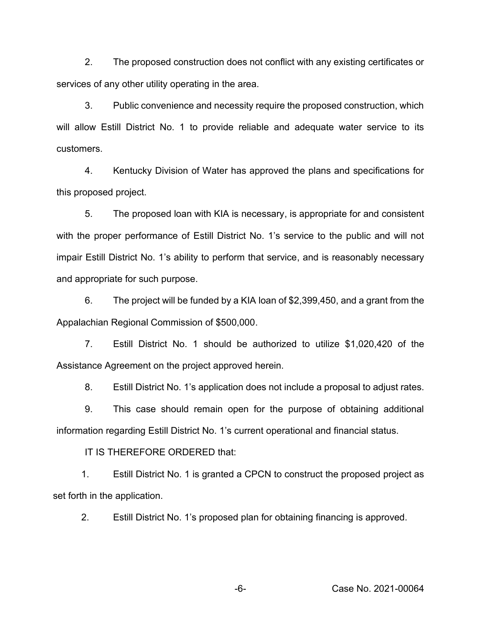2. The proposed construction does not conflict with any existing certificates or services of any other utility operating in the area.

3. Public convenience and necessity require the proposed construction, which will allow Estill District No. 1 to provide reliable and adequate water service to its customers.

4. Kentucky Division of Water has approved the plans and specifications for this proposed project.

5. The proposed loan with KIA is necessary, is appropriate for and consistent with the proper performance of Estill District No. 1's service to the public and will not impair Estill District No. 1's ability to perform that service, and is reasonably necessary and appropriate for such purpose.

6. The project will be funded by a KIA loan of \$2,399,450, and a grant from the Appalachian Regional Commission of \$500,000.

7. Estill District No. 1 should be authorized to utilize \$1,020,420 of the Assistance Agreement on the project approved herein.

8. Estill District No. 1's application does not include a proposal to adjust rates.

9. This case should remain open for the purpose of obtaining additional information regarding Estill District No. 1's current operational and financial status.

IT IS THEREFORE ORDERED that:

1. Estill District No. 1 is granted a CPCN to construct the proposed project as set forth in the application.

2. Estill District No. 1's proposed plan for obtaining financing is approved.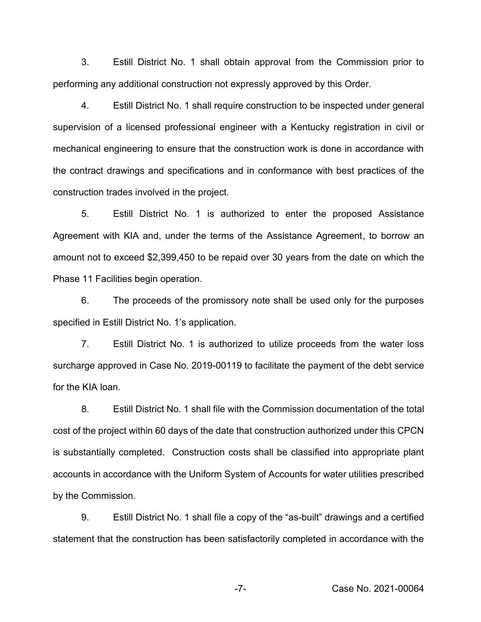3. Estill District No. 1 shall obtain approval from the Commission prior to performing any additional construction not expressly approved by this Order.

4. Estill District No. 1 shall require construction to be inspected under general supervision of a licensed professional engineer with a Kentucky registration in civil or mechanical engineering to ensure that the construction work is done in accordance with the contract drawings and specifications and in conformance with best practices of the construction trades involved in the project.

5. Estill District No. 1 is authorized to enter the proposed Assistance Agreement with KIA and, under the terms of the Assistance Agreement, to borrow an amount not to exceed \$2,399,450 to be repaid over 30 years from the date on which the Phase 11 Facilities begin operation.

6. The proceeds of the promissory note shall be used only for the purposes specified in Estill District No. 1's application.

7. Estill District No. 1 is authorized to utilize proceeds from the water loss surcharge approved in Case No. 2019-00119 to facilitate the payment of the debt service for the KIA loan.

8. Estill District No. 1 shall file with the Commission documentation of the total cost of the project within 60 days of the date that construction authorized under this CPCN is substantially completed. Construction costs shall be classified into appropriate plant accounts in accordance with the Uniform System of Accounts for water utilities prescribed by the Commission.

9. Estill District No. 1 shall file a copy of the "as-built" drawings and a certified statement that the construction has been satisfactorily completed in accordance with the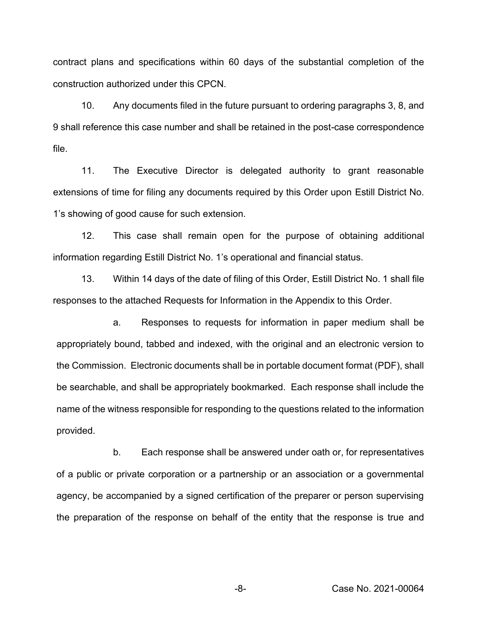contract plans and specifications within 60 days of the substantial completion of the construction authorized under this CPCN.

10. Any documents filed in the future pursuant to ordering paragraphs 3, 8, and 9 shall reference this case number and shall be retained in the post-case correspondence file.

11. The Executive Director is delegated authority to grant reasonable extensions of time for filing any documents required by this Order upon Estill District No. 1's showing of good cause for such extension.

12. This case shall remain open for the purpose of obtaining additional information regarding Estill District No. 1's operational and financial status.

13. Within 14 days of the date of filing of this Order, Estill District No. 1 shall file responses to the attached Requests for Information in the Appendix to this Order.

a. Responses to requests for information in paper medium shall be appropriately bound, tabbed and indexed, with the original and an electronic version to the Commission. Electronic documents shall be in portable document format (PDF), shall be searchable, and shall be appropriately bookmarked. Each response shall include the name of the witness responsible for responding to the questions related to the information provided.

b. Each response shall be answered under oath or, for representatives of a public or private corporation or a partnership or an association or a governmental agency, be accompanied by a signed certification of the preparer or person supervising the preparation of the response on behalf of the entity that the response is true and

-8- Case No. 2021-00064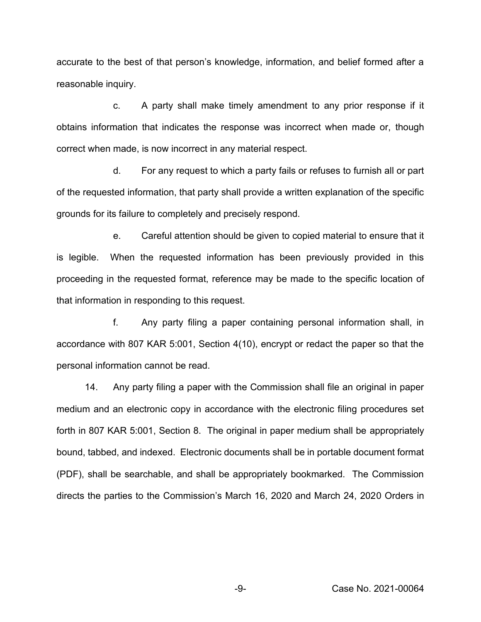accurate to the best of that person's knowledge, information, and belief formed after a reasonable inquiry.

c. A party shall make timely amendment to any prior response if it obtains information that indicates the response was incorrect when made or, though correct when made, is now incorrect in any material respect.

d. For any request to which a party fails or refuses to furnish all or part of the requested information, that party shall provide a written explanation of the specific grounds for its failure to completely and precisely respond.

e. Careful attention should be given to copied material to ensure that it is legible. When the requested information has been previously provided in this proceeding in the requested format, reference may be made to the specific location of that information in responding to this request.

f. Any party filing a paper containing personal information shall, in accordance with 807 KAR 5:001, Section 4(10), encrypt or redact the paper so that the personal information cannot be read.

14. Any party filing a paper with the Commission shall file an original in paper medium and an electronic copy in accordance with the electronic filing procedures set forth in 807 KAR 5:001, Section 8. The original in paper medium shall be appropriately bound, tabbed, and indexed. Electronic documents shall be in portable document format (PDF), shall be searchable, and shall be appropriately bookmarked. The Commission directs the parties to the Commission's March 16, 2020 and March 24, 2020 Orders in

-9- Case No. 2021-00064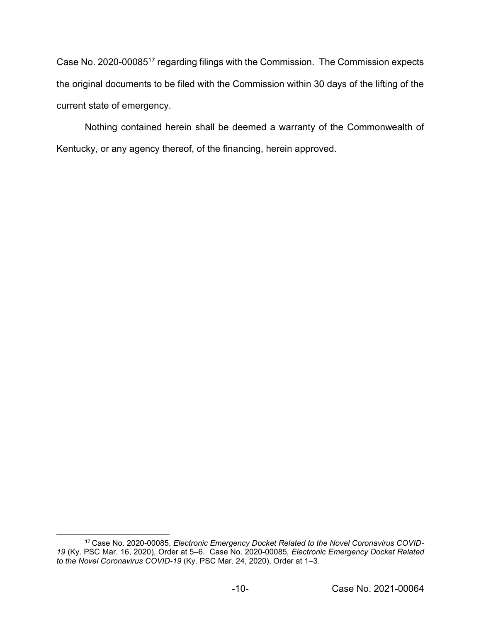Case No. 2020-0008517 regarding filings with the Commission. The Commission expects the original documents to be filed with the Commission within 30 days of the lifting of the current state of emergency.

Nothing contained herein shall be deemed a warranty of the Commonwealth of Kentucky, or any agency thereof, of the financing, herein approved.

<sup>17</sup> Case No. 2020-00085, *Electronic Emergency Docket Related to the Novel Coronavirus COVID-19* (Ky. PSC Mar. 16, 2020), Order at 5–6. Case No. 2020-00085, *Electronic Emergency Docket Related to the Novel Coronavirus COVID-19* (Ky. PSC Mar. 24, 2020), Order at 1–3.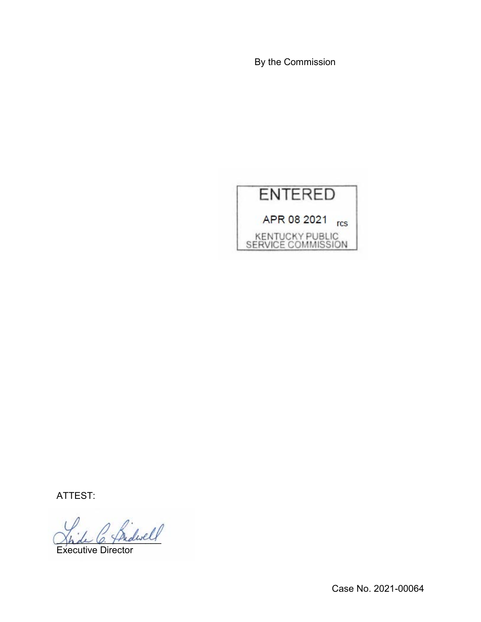By the Commission



ATTEST:

\_\_\_\_\_\_\_\_\_\_\_\_\_\_\_\_\_\_\_\_

Executive Director

Case No. 2021-00064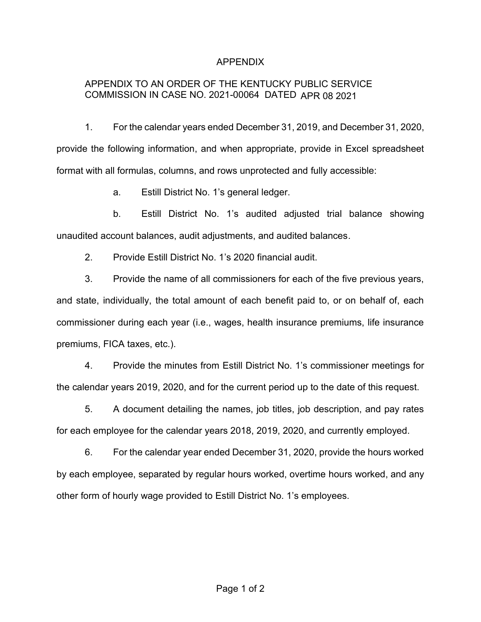# APPENDIX

# APPENDIX TO AN ORDER OF THE KENTUCKY PUBLIC SERVICE COMMISSION IN CASE NO. 2021-00064 DATED APR 08 2021

1. For the calendar years ended December 31, 2019, and December 31, 2020, provide the following information, and when appropriate, provide in Excel spreadsheet format with all formulas, columns, and rows unprotected and fully accessible:

a. Estill District No. 1's general ledger.

b. Estill District No. 1's audited adjusted trial balance showing unaudited account balances, audit adjustments, and audited balances.

2. Provide Estill District No. 1's 2020 financial audit.

3. Provide the name of all commissioners for each of the five previous years, and state, individually, the total amount of each benefit paid to, or on behalf of, each commissioner during each year (i.e., wages, health insurance premiums, life insurance premiums, FICA taxes, etc.).

4. Provide the minutes from Estill District No. 1's commissioner meetings for the calendar years 2019, 2020, and for the current period up to the date of this request.

5. A document detailing the names, job titles, job description, and pay rates for each employee for the calendar years 2018, 2019, 2020, and currently employed.

6. For the calendar year ended December 31, 2020, provide the hours worked by each employee, separated by regular hours worked, overtime hours worked, and any other form of hourly wage provided to Estill District No. 1's employees.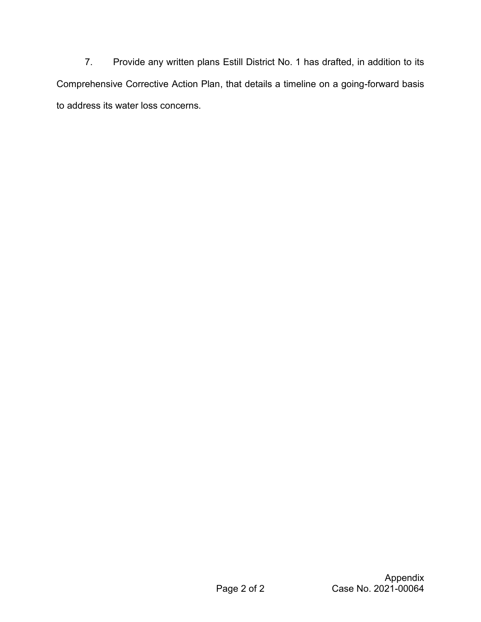7. Provide any written plans Estill District No. 1 has drafted, in addition to its Comprehensive Corrective Action Plan, that details a timeline on a going-forward basis to address its water loss concerns.